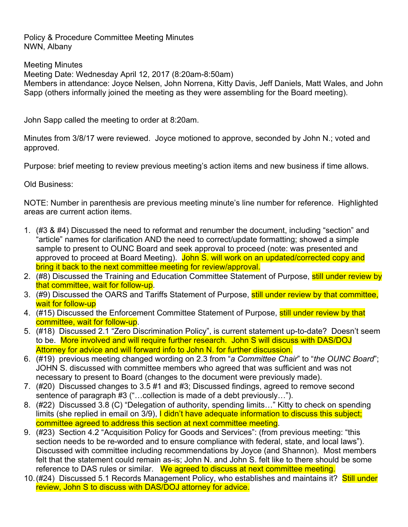Policy & Procedure Committee Meeting Minutes NWN, Albany

Meeting Minutes Meeting Date: Wednesday April 12, 2017 (8:20am-8:50am) Members in attendance: Joyce Nelsen, John Norrena, Kitty Davis, Jeff Daniels, Matt Wales, and John Sapp (others informally joined the meeting as they were assembling for the Board meeting).

John Sapp called the meeting to order at 8:20am.

Minutes from 3/8/17 were reviewed. Joyce motioned to approve, seconded by John N.; voted and approved.

Purpose: brief meeting to review previous meeting's action items and new business if time allows.

Old Business:

NOTE: Number in parenthesis are previous meeting minute's line number for reference. Highlighted areas are current action items.

- 1. (#3 & #4) Discussed the need to reformat and renumber the document, including "section" and "article" names for clarification AND the need to correct/update formatting; showed a simple sample to present to OUNC Board and seek approval to proceed (note: was presented and approved to proceed at Board Meeting). John S. will work on an updated/corrected copy and bring it back to the next committee meeting for review/approval.
- 2. (#8) Discussed the Training and Education Committee Statement of Purpose, still under review by that committee, wait for follow-up.
- 3. (#9) Discussed the OARS and Tariffs Statement of Purpose, still under review by that committee, wait for follow-up
- 4. (#15) Discussed the Enforcement Committee Statement of Purpose, still under review by that committee, wait for follow-up.
- 5. (#18) Discussed 2.1 "Zero Discrimination Policy", is current statement up-to-date? Doesn't seem to be. More involved and will require further research. John S will discuss with DAS/DOJ Attorney for advice and will forward info to John N. for further discussion.
- 6. (#19) previous meeting changed wording on 2.3 from "*a Committee Chair*" to "*the OUNC Board*"; JOHN S. discussed with committee members who agreed that was sufficient and was not necessary to present to Board (changes to the document were previously made).
- 7. (#20) Discussed changes to 3.5 #1 and #3; Discussed findings, agreed to remove second sentence of paragraph #3 ("…collection is made of a debt previously…").
- 8. (#22) Discussed 3.8 (C) "Delegation of authority, spending limits…" Kitty to check on spending limits (she replied in email on 3/9), I didn't have adequate information to discuss this subject; committee agreed to address this section at next committee meeting.
- 9. (#23) Section 4.2 "Acquisition Policy for Goods and Services": (from previous meeting: "this section needs to be re-worded and to ensure compliance with federal, state, and local laws"). Discussed with committee including recommendations by Joyce (and Shannon). Most members felt that the statement could remain as-is; John N. and John S. felt like to there should be some reference to DAS rules or similar. We agreed to discuss at next committee meeting.
- 10.(#24) Discussed 5.1 Records Management Policy, who establishes and maintains it? Still under review, John S to discuss with DAS/DOJ attorney for advice.